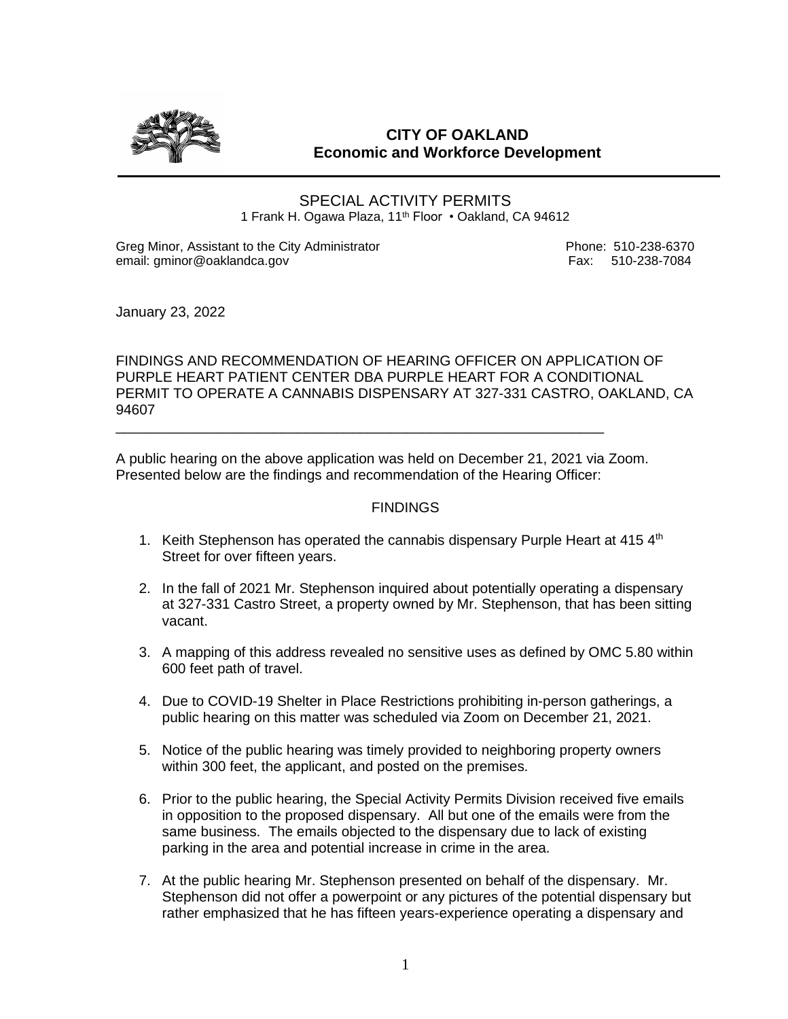

# **CITY OF OAKLAND Economic and Workforce Development**

SPECIAL ACTIVITY PERMITS 1 Frank H. Ogawa Plaza, 11<sup>th</sup> Floor • Oakland, CA 94612

Greg Minor, Assistant to the City Administrator **Phone: 510-238-6370** email: gminor@oaklandca.gov **Fax: 510-238-7084** 

January 23, 2022

FINDINGS AND RECOMMENDATION OF HEARING OFFICER ON APPLICATION OF PURPLE HEART PATIENT CENTER DBA PURPLE HEART FOR A CONDITIONAL PERMIT TO OPERATE A CANNABIS DISPENSARY AT 327-331 CASTRO, OAKLAND, CA 94607

A public hearing on the above application was held on December 21, 2021 via Zoom. Presented below are the findings and recommendation of the Hearing Officer:

\_\_\_\_\_\_\_\_\_\_\_\_\_\_\_\_\_\_\_\_\_\_\_\_\_\_\_\_\_\_\_\_\_\_\_\_\_\_\_\_\_\_\_\_\_\_\_\_\_\_\_\_\_\_\_\_\_\_\_\_\_\_

#### FINDINGS

- 1. Keith Stephenson has operated the cannabis dispensary Purple Heart at 415  $4<sup>th</sup>$ Street for over fifteen years.
- 2. In the fall of 2021 Mr. Stephenson inquired about potentially operating a dispensary at 327-331 Castro Street, a property owned by Mr. Stephenson, that has been sitting vacant.
- 3. A mapping of this address revealed no sensitive uses as defined by OMC 5.80 within 600 feet path of travel.
- 4. Due to COVID-19 Shelter in Place Restrictions prohibiting in-person gatherings, a public hearing on this matter was scheduled via Zoom on December 21, 2021.
- 5. Notice of the public hearing was timely provided to neighboring property owners within 300 feet, the applicant, and posted on the premises.
- 6. Prior to the public hearing, the Special Activity Permits Division received five emails in opposition to the proposed dispensary. All but one of the emails were from the same business. The emails objected to the dispensary due to lack of existing parking in the area and potential increase in crime in the area.
- 7. At the public hearing Mr. Stephenson presented on behalf of the dispensary. Mr. Stephenson did not offer a powerpoint or any pictures of the potential dispensary but rather emphasized that he has fifteen years-experience operating a dispensary and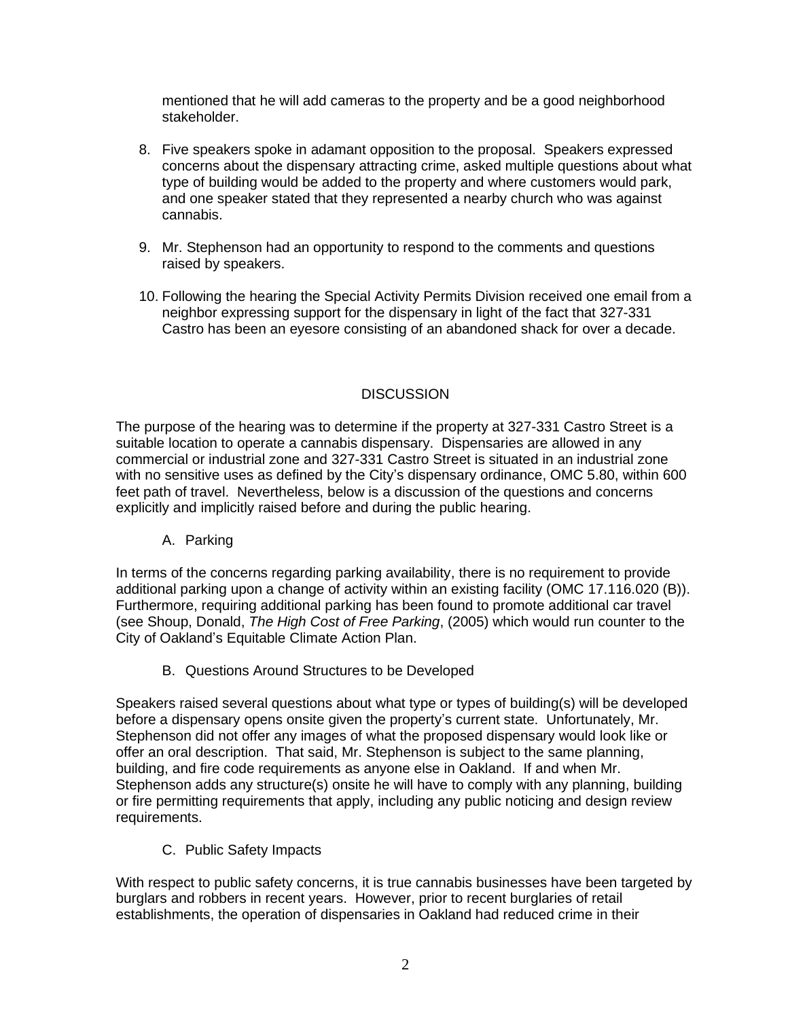mentioned that he will add cameras to the property and be a good neighborhood stakeholder.

- 8. Five speakers spoke in adamant opposition to the proposal. Speakers expressed concerns about the dispensary attracting crime, asked multiple questions about what type of building would be added to the property and where customers would park, and one speaker stated that they represented a nearby church who was against cannabis.
- 9. Mr. Stephenson had an opportunity to respond to the comments and questions raised by speakers.
- 10. Following the hearing the Special Activity Permits Division received one email from a neighbor expressing support for the dispensary in light of the fact that 327-331 Castro has been an eyesore consisting of an abandoned shack for over a decade.

## **DISCUSSION**

The purpose of the hearing was to determine if the property at 327-331 Castro Street is a suitable location to operate a cannabis dispensary. Dispensaries are allowed in any commercial or industrial zone and 327-331 Castro Street is situated in an industrial zone with no sensitive uses as defined by the City's dispensary ordinance, OMC 5.80, within 600 feet path of travel. Nevertheless, below is a discussion of the questions and concerns explicitly and implicitly raised before and during the public hearing.

#### A. Parking

In terms of the concerns regarding parking availability, there is no requirement to provide additional parking upon a change of activity within an existing facility (OMC 17.116.020 (B)). Furthermore, requiring additional parking has been found to promote additional car travel (see Shoup, Donald, *The High Cost of Free Parking*, (2005) which would run counter to the City of Oakland's Equitable Climate Action Plan.

B. Questions Around Structures to be Developed

Speakers raised several questions about what type or types of building(s) will be developed before a dispensary opens onsite given the property's current state. Unfortunately, Mr. Stephenson did not offer any images of what the proposed dispensary would look like or offer an oral description. That said, Mr. Stephenson is subject to the same planning, building, and fire code requirements as anyone else in Oakland. If and when Mr. Stephenson adds any structure(s) onsite he will have to comply with any planning, building or fire permitting requirements that apply, including any public noticing and design review requirements.

C. Public Safety Impacts

With respect to public safety concerns, it is true cannabis businesses have been targeted by burglars and robbers in recent years. However, prior to recent burglaries of retail establishments, the operation of dispensaries in Oakland had reduced crime in their